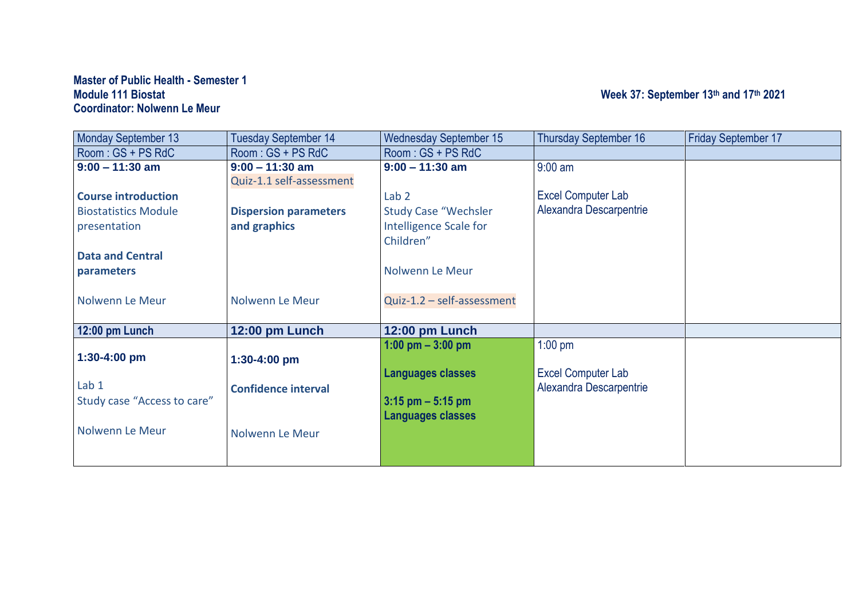## **Master of Public Health - Semester 1 Coordinator: Nolwenn Le Meur**

### **Module 111 Biostat Week 37: September 13th and 17th 2021**

| <b>Monday September 13</b>  | <b>Tuesday September 14</b>  | <b>Wednesday September 15</b> | <b>Thursday September 16</b> | <b>Friday September 17</b> |
|-----------------------------|------------------------------|-------------------------------|------------------------------|----------------------------|
| Room: GS + PS RdC           | $Room:GS + PS RdC$           | Room: GS + PS RdC             |                              |                            |
| $9:00 - 11:30$ am           | $9:00 - 11:30$ am            | $9:00 - 11:30$ am             | $9:00$ am                    |                            |
|                             | Quiz-1.1 self-assessment     |                               |                              |                            |
| <b>Course introduction</b>  |                              | Lab <sub>2</sub>              | Excel Computer Lab           |                            |
| <b>Biostatistics Module</b> | <b>Dispersion parameters</b> | <b>Study Case "Wechsler</b>   | Alexandra Descarpentrie      |                            |
| presentation                | and graphics                 | Intelligence Scale for        |                              |                            |
|                             |                              | Children"                     |                              |                            |
| <b>Data and Central</b>     |                              |                               |                              |                            |
| parameters                  |                              | Nolwenn Le Meur               |                              |                            |
|                             |                              |                               |                              |                            |
| Nolwenn Le Meur             | Nolwenn Le Meur              | Quiz-1.2 - self-assessment    |                              |                            |
|                             |                              |                               |                              |                            |
| 12:00 pm Lunch              | 12:00 pm Lunch               | 12:00 pm Lunch                |                              |                            |
|                             |                              | 1:00 pm $-$ 3:00 pm           | $1:00$ pm                    |                            |
| 1:30-4:00 pm                | $1:30-4:00$ pm               |                               |                              |                            |
|                             |                              | <b>Languages classes</b>      | Excel Computer Lab           |                            |
| Lab <sub>1</sub>            | <b>Confidence interval</b>   |                               | Alexandra Descarpentrie      |                            |
| Study case "Access to care" |                              | $3:15$ pm $-5:15$ pm          |                              |                            |
|                             |                              | <b>Languages classes</b>      |                              |                            |
| Nolwenn Le Meur             | Nolwenn Le Meur              |                               |                              |                            |
|                             |                              |                               |                              |                            |
|                             |                              |                               |                              |                            |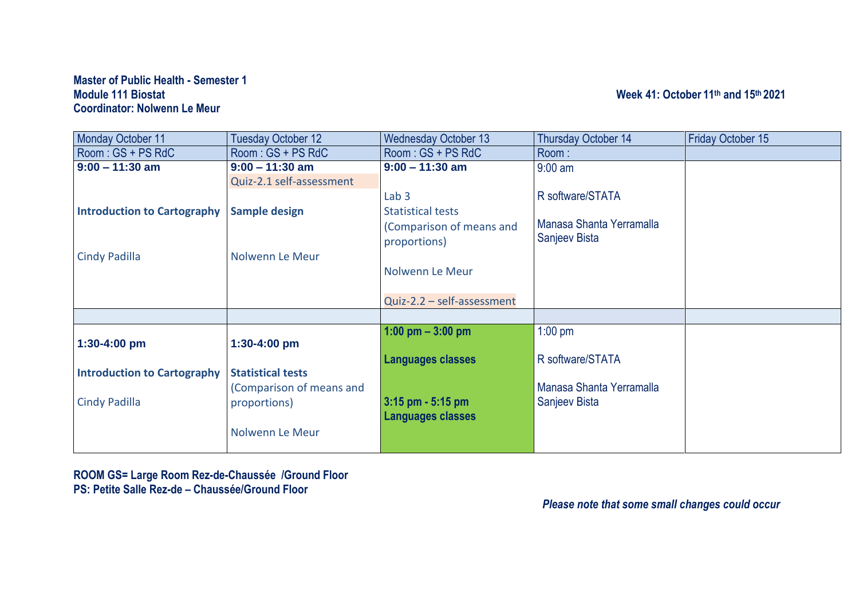#### **Master of Public Health - Semester 1 Module 111 Biostat Week 41: October 11 th and 15th 2021 Coordinator: Nolwenn Le Meur**

| Monday October 11                  | <b>Tuesday October 12</b> | <b>Wednesday October 13</b> | Thursday October 14      | <b>Friday October 15</b> |
|------------------------------------|---------------------------|-----------------------------|--------------------------|--------------------------|
| Room: GS + PS RdC                  | $Room:GS + PS RdC$        | $Room:GS + PS RdC$          | Room:                    |                          |
| $9:00 - 11:30$ am                  | $9:00 - 11:30$ am         | $9:00 - 11:30$ am           | $9:00$ am                |                          |
|                                    | Quiz-2.1 self-assessment  |                             |                          |                          |
|                                    |                           | Lab <sub>3</sub>            | R software/STATA         |                          |
| <b>Introduction to Cartography</b> | <b>Sample design</b>      | <b>Statistical tests</b>    |                          |                          |
|                                    |                           | (Comparison of means and    | Manasa Shanta Yerramalla |                          |
|                                    |                           | proportions)                | Sanjeev Bista            |                          |
| <b>Cindy Padilla</b>               | Nolwenn Le Meur           |                             |                          |                          |
|                                    |                           | Nolwenn Le Meur             |                          |                          |
|                                    |                           |                             |                          |                          |
|                                    |                           |                             |                          |                          |
|                                    |                           | Quiz-2.2 - self-assessment  |                          |                          |
|                                    |                           |                             |                          |                          |
|                                    |                           | 1:00 pm $-$ 3:00 pm         | $1:00$ pm                |                          |
| $1:30-4:00$ pm                     | $1:30-4:00$ pm            |                             |                          |                          |
|                                    |                           | <b>Languages classes</b>    | R software/STATA         |                          |
| <b>Introduction to Cartography</b> | <b>Statistical tests</b>  |                             |                          |                          |
|                                    | (Comparison of means and  |                             | Manasa Shanta Yerramalla |                          |
| <b>Cindy Padilla</b>               | proportions)              | $3:15$ pm - 5:15 pm         | Sanjeev Bista            |                          |
|                                    |                           | <b>Languages classes</b>    |                          |                          |
|                                    | Nolwenn Le Meur           |                             |                          |                          |
|                                    |                           |                             |                          |                          |
|                                    |                           |                             |                          |                          |

**ROOM GS= Large Room Rez-de-Chaussée /Ground Floor PS: Petite Salle Rez-de – Chaussée/Ground Floor**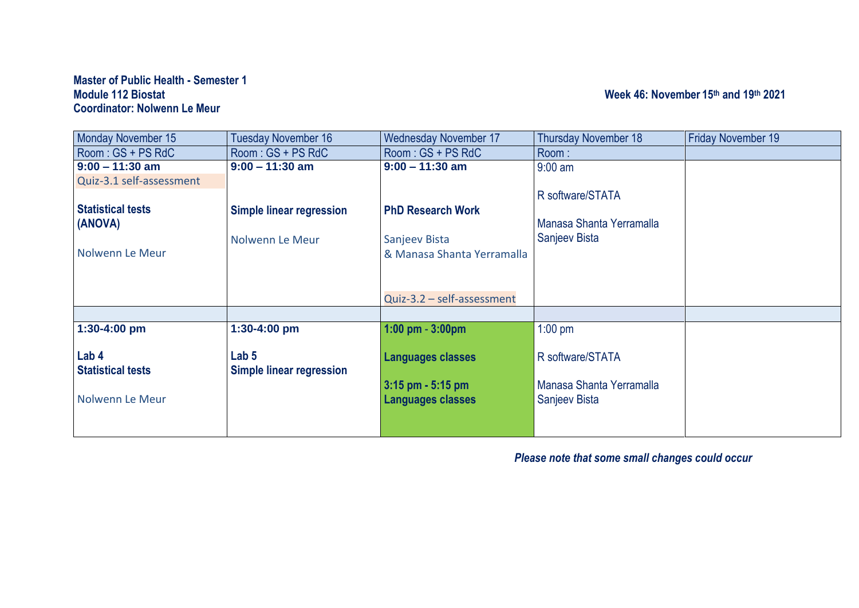#### **Master of Public Health - Semester 1 Module 112 Biostat Week 46: November 15 th and 19 th 2021 Coordinator: Nolwenn Le Meur**

| <b>Monday November 15</b> | Tuesday November 16             | <b>Wednesday November 17</b> | <b>Thursday November 18</b> | <b>Friday November 19</b> |
|---------------------------|---------------------------------|------------------------------|-----------------------------|---------------------------|
| Room: GS + PS RdC         | Room: GS + PS RdC               | Room: GS + PS RdC            | Room:                       |                           |
| $9:00 - 11:30$ am         | $9:00 - 11:30$ am               | $9:00 - 11:30$ am            | $9:00$ am                   |                           |
| Quiz-3.1 self-assessment  |                                 |                              |                             |                           |
|                           |                                 |                              | R software/STATA            |                           |
| <b>Statistical tests</b>  | <b>Simple linear regression</b> | <b>PhD Research Work</b>     |                             |                           |
| (ANOVA)                   |                                 |                              | Manasa Shanta Yerramalla    |                           |
|                           | Nolwenn Le Meur                 | Sanjeev Bista                | Sanjeev Bista               |                           |
| Nolwenn Le Meur           |                                 | & Manasa Shanta Yerramalla   |                             |                           |
|                           |                                 |                              |                             |                           |
|                           |                                 |                              |                             |                           |
|                           |                                 | Quiz-3.2 - self-assessment   |                             |                           |
|                           |                                 |                              |                             |                           |
| 1:30-4:00 pm              | 1:30-4:00 pm                    | $1:00$ pm $-3:00$ pm         | $1:00$ pm                   |                           |
|                           |                                 |                              |                             |                           |
| Lab 4                     | Lab <sub>5</sub>                | <b>Languages classes</b>     | R software/STATA            |                           |
| <b>Statistical tests</b>  | Simple linear regression        |                              |                             |                           |
|                           |                                 | $3:15$ pm - 5:15 pm          | Manasa Shanta Yerramalla    |                           |
| Nolwenn Le Meur           |                                 | <b>Languages classes</b>     | Sanjeev Bista               |                           |
|                           |                                 |                              |                             |                           |
|                           |                                 |                              |                             |                           |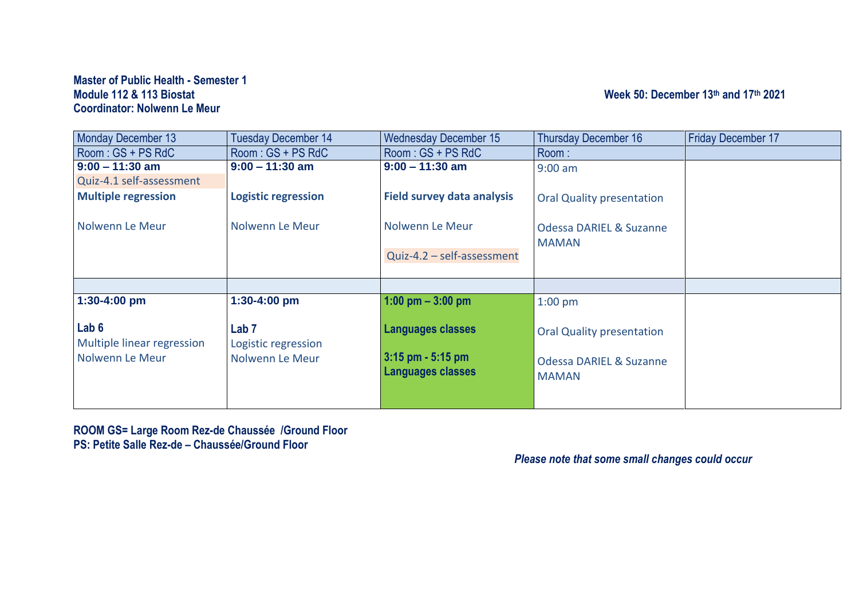#### **Master of Public Health - Semester 1 Module 112 & 113 Biostat Coordinator: Nolwenn Le Meur**

### **th and 17 th 2021**

| <b>Monday December 13</b>  | <b>Tuesday December 14</b> | <b>Wednesday December 15</b>      | <b>Thursday December 16</b>        | <b>Friday December 17</b> |
|----------------------------|----------------------------|-----------------------------------|------------------------------------|---------------------------|
| Room: GS + PS RdC          | Room: GS + PS RdC          | Room: GS + PS RdC                 | Room:                              |                           |
| $9:00 - 11:30$ am          | $9:00 - 11:30$ am          | $9:00 - 11:30$ am                 | $9:00$ am                          |                           |
| Quiz-4.1 self-assessment   |                            |                                   |                                    |                           |
| <b>Multiple regression</b> | <b>Logistic regression</b> | <b>Field survey data analysis</b> | <b>Oral Quality presentation</b>   |                           |
|                            |                            |                                   |                                    |                           |
| Nolwenn Le Meur            | Nolwenn Le Meur            | Nolwenn Le Meur                   | <b>Odessa DARIEL &amp; Suzanne</b> |                           |
|                            |                            |                                   | <b>MAMAN</b>                       |                           |
|                            |                            | Quiz-4.2 - self-assessment        |                                    |                           |
|                            |                            |                                   |                                    |                           |
|                            |                            |                                   |                                    |                           |
| 1:30-4:00 pm               | 1:30-4:00 pm               | 1:00 pm $-3:00$ pm                | $1:00$ pm                          |                           |
|                            |                            |                                   |                                    |                           |
| Lab 6                      | Lab <sub>7</sub>           | <b>Languages classes</b>          | <b>Oral Quality presentation</b>   |                           |
| Multiple linear regression | Logistic regression        |                                   |                                    |                           |
| Nolwenn Le Meur            | Nolwenn Le Meur            | $3:15$ pm - 5:15 pm               | <b>Odessa DARIEL &amp; Suzanne</b> |                           |
|                            |                            | <b>Languages classes</b>          | <b>MAMAN</b>                       |                           |
|                            |                            |                                   |                                    |                           |
|                            |                            |                                   |                                    |                           |

**ROOM GS= Large Room Rez-de Chaussée /Ground Floor PS: Petite Salle Rez-de – Chaussée/Ground Floor**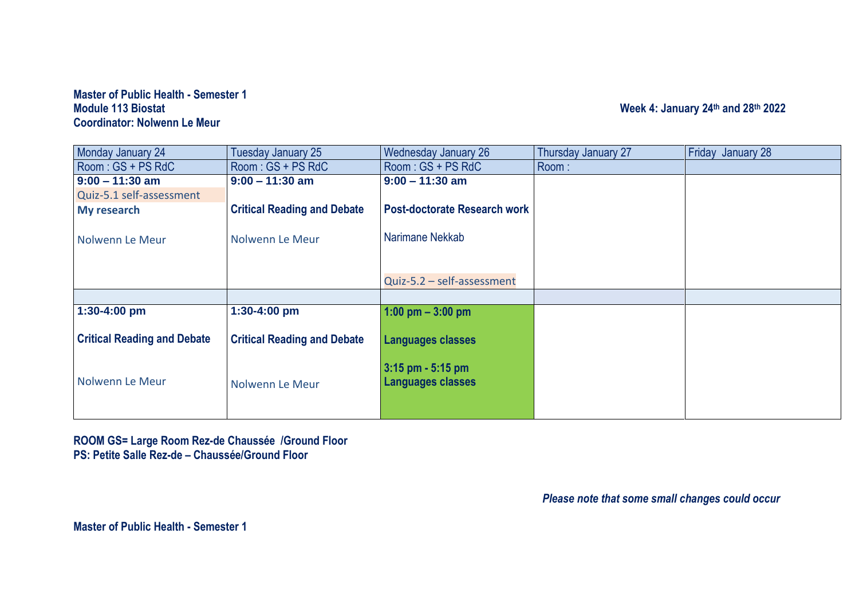#### **Master of Public Health - Semester 1 Module 113 Biostat Week 4: January 24 th and 28 th 2022 Coordinator: Nolwenn Le Meur**

| Monday January 24                  | Tuesday January 25                 | Wednesday January 26                | Thursday January 27 | Friday January 28 |
|------------------------------------|------------------------------------|-------------------------------------|---------------------|-------------------|
| Room: GS + PS RdC                  | Room: GS + PS RdC                  | Room: GS + PS RdC                   | Room:               |                   |
| $9:00 - 11:30$ am                  | $9:00 - 11:30$ am                  | $9:00 - 11:30$ am                   |                     |                   |
| Quiz-5.1 self-assessment           |                                    |                                     |                     |                   |
| My research                        | <b>Critical Reading and Debate</b> | <b>Post-doctorate Research work</b> |                     |                   |
|                                    |                                    |                                     |                     |                   |
| Nolwenn Le Meur                    | Nolwenn Le Meur                    | Narimane Nekkab                     |                     |                   |
|                                    |                                    |                                     |                     |                   |
|                                    |                                    |                                     |                     |                   |
|                                    |                                    | Quiz-5.2 - self-assessment          |                     |                   |
|                                    |                                    |                                     |                     |                   |
| 1:30-4:00 pm                       | 1:30-4:00 pm                       | 1:00 pm $-$ 3:00 pm                 |                     |                   |
|                                    |                                    |                                     |                     |                   |
| <b>Critical Reading and Debate</b> | <b>Critical Reading and Debate</b> | <b>Languages classes</b>            |                     |                   |
|                                    |                                    |                                     |                     |                   |
|                                    |                                    | $3:15$ pm - $5:15$ pm               |                     |                   |
| Nolwenn Le Meur                    | Nolwenn Le Meur                    | <b>Languages classes</b>            |                     |                   |
|                                    |                                    |                                     |                     |                   |
|                                    |                                    |                                     |                     |                   |

**ROOM GS= Large Room Rez-de Chaussée /Ground Floor PS: Petite Salle Rez-de – Chaussée/Ground Floor**

*Please note that some small changes could occur* 

**Master of Public Health - Semester 1**